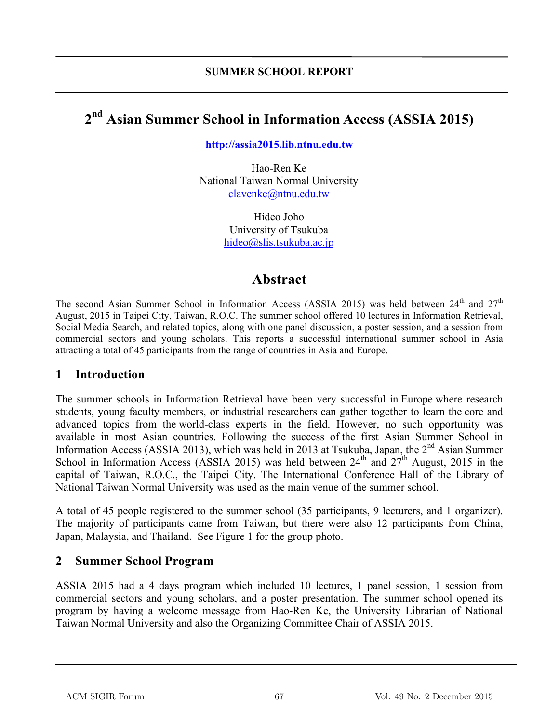# **2 nd Asian Summer School in Information Access (ASSIA 2015)**

**http://assia2015.lib.ntnu.edu.tw**

Hao-Ren Ke National Taiwan Normal University clavenke@ntnu.edu.tw

> Hideo Joho University of Tsukuba hideo@slis.tsukuba.ac.jp

## **Abstract**

The second Asian Summer School in Information Access (ASSIA 2015) was held between  $24<sup>th</sup>$  and  $27<sup>th</sup>$ August, 2015 in Taipei City, Taiwan, R.O.C. The summer school offered 10 lectures in Information Retrieval, Social Media Search, and related topics, along with one panel discussion, a poster session, and a session from commercial sectors and young scholars. This reports a successful international summer school in Asia attracting a total of 45 participants from the range of countries in Asia and Europe.

#### **1 Introduction**

The summer schools in Information Retrieval have been very successful in Europe where research students, young faculty members, or industrial researchers can gather together to learn the core and advanced topics from the world-class experts in the field. However, no such opportunity was available in most Asian countries. Following the success of the first Asian Summer School in Information Access (ASSIA 2013), which was held in 2013 at Tsukuba, Japan, the  $2<sup>nd</sup>$  Asian Summer School in Information Access (ASSIA 2015) was held between  $24<sup>th</sup>$  and  $27<sup>th</sup>$  August, 2015 in the capital of Taiwan, R.O.C., the Taipei City. The International Conference Hall of the Library of National Taiwan Normal University was used as the main venue of the summer school.

A total of 45 people registered to the summer school (35 participants, 9 lecturers, and 1 organizer). The majority of participants came from Taiwan, but there were also 12 participants from China, Japan, Malaysia, and Thailand. See Figure 1 for the group photo.

#### **2 Summer School Program**

ASSIA 2015 had a 4 days program which included 10 lectures, 1 panel session, 1 session from commercial sectors and young scholars, and a poster presentation. The summer school opened its program by having a welcome message from Hao-Ren Ke, the University Librarian of National Taiwan Normal University and also the Organizing Committee Chair of ASSIA 2015.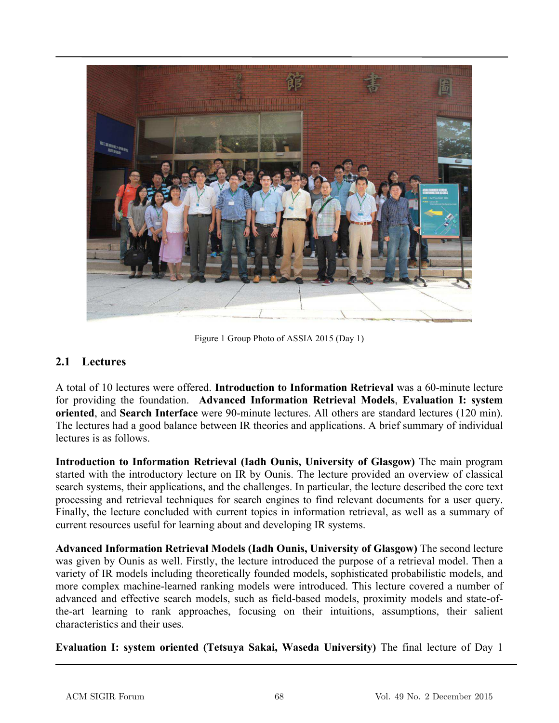

Figure 1 Group Photo of ASSIA 2015 (Day 1)

#### **2.1 Lectures**

A total of 10 lectures were offered. **Introduction to Information Retrieval** was a 60-minute lecture for providing the foundation. **Advanced Information Retrieval Models**, **Evaluation I: system oriented**, and **Search Interface** were 90-minute lectures. All others are standard lectures (120 min). The lectures had a good balance between IR theories and applications. A brief summary of individual lectures is as follows.

**Introduction to Information Retrieval (Iadh Ounis, University of Glasgow)** The main program started with the introductory lecture on IR by Ounis. The lecture provided an overview of classical search systems, their applications, and the challenges. In particular, the lecture described the core text processing and retrieval techniques for search engines to find relevant documents for a user query. Finally, the lecture concluded with current topics in information retrieval, as well as a summary of current resources useful for learning about and developing IR systems.

**Advanced Information Retrieval Models (Iadh Ounis, University of Glasgow)** The second lecture was given by Ounis as well. Firstly, the lecture introduced the purpose of a retrieval model. Then a variety of IR models including theoretically founded models, sophisticated probabilistic models, and more complex machine-learned ranking models were introduced. This lecture covered a number of advanced and effective search models, such as field-based models, proximity models and state-ofthe-art learning to rank approaches, focusing on their intuitions, assumptions, their salient characteristics and their uses.

**Evaluation I: system oriented (Tetsuya Sakai, Waseda University)** The final lecture of Day 1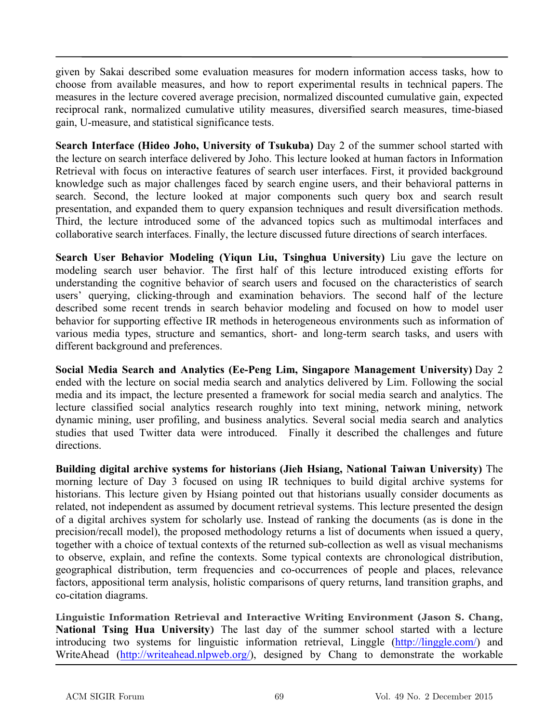given by Sakai described some evaluation measures for modern information access tasks, how to choose from available measures, and how to report experimental results in technical papers. The measures in the lecture covered average precision, normalized discounted cumulative gain, expected reciprocal rank, normalized cumulative utility measures, diversified search measures, time-biased gain, U-measure, and statistical significance tests.

**Search Interface (Hideo Joho, University of Tsukuba)** Day 2 of the summer school started with the lecture on search interface delivered by Joho. This lecture looked at human factors in Information Retrieval with focus on interactive features of search user interfaces. First, it provided background knowledge such as major challenges faced by search engine users, and their behavioral patterns in search. Second, the lecture looked at major components such query box and search result presentation, and expanded them to query expansion techniques and result diversification methods. Third, the lecture introduced some of the advanced topics such as multimodal interfaces and collaborative search interfaces. Finally, the lecture discussed future directions of search interfaces.

**Search User Behavior Modeling (Yiqun Liu, Tsinghua University)** Liu gave the lecture on modeling search user behavior. The first half of this lecture introduced existing efforts for understanding the cognitive behavior of search users and focused on the characteristics of search users' querying, clicking-through and examination behaviors. The second half of the lecture described some recent trends in search behavior modeling and focused on how to model user behavior for supporting effective IR methods in heterogeneous environments such as information of various media types, structure and semantics, short- and long-term search tasks, and users with different background and preferences.

**Social Media Search and Analytics (Ee-Peng Lim, Singapore Management University)** Day 2 ended with the lecture on social media search and analytics delivered by Lim. Following the social media and its impact, the lecture presented a framework for social media search and analytics. The lecture classified social analytics research roughly into text mining, network mining, network dynamic mining, user profiling, and business analytics. Several social media search and analytics studies that used Twitter data were introduced. Finally it described the challenges and future directions.

**Building digital archive systems for historians (Jieh Hsiang, National Taiwan University)** The morning lecture of Day 3 focused on using IR techniques to build digital archive systems for historians. This lecture given by Hsiang pointed out that historians usually consider documents as related, not independent as assumed by document retrieval systems. This lecture presented the design of a digital archives system for scholarly use. Instead of ranking the documents (as is done in the precision/recall model), the proposed methodology returns a list of documents when issued a query, together with a choice of textual contexts of the returned sub-collection as well as visual mechanisms to observe, explain, and refine the contexts. Some typical contexts are chronological distribution, geographical distribution, term frequencies and co-occurrences of people and places, relevance factors, appositional term analysis, holistic comparisons of query returns, land transition graphs, and co-citation diagrams.

**Linguistic Information Retrieval and Interactive Writing Environment (Jason S. Chang, National Tsing Hua University)** The last day of the summer school started with a lecture introducing two systems for linguistic information retrieval, Linggle (http://linggle.com/) and WriteAhead (http://writeahead.nlpweb.org/), designed by Chang to demonstrate the workable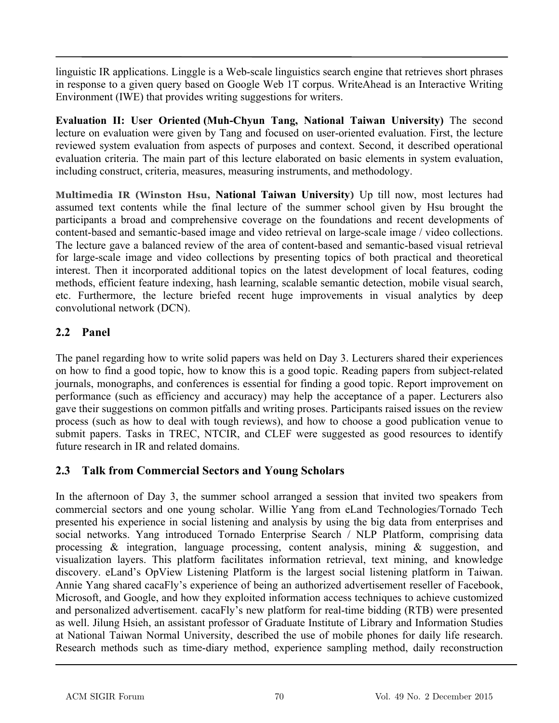linguistic IR applications. Linggle is a Web-scale linguistics search engine that retrieves short phrases in response to a given query based on Google Web 1T corpus. WriteAhead is an Interactive Writing Environment (IWE) that provides writing suggestions for writers.

**Evaluation II: User Oriented (Muh-Chyun Tang, National Taiwan University)** The second lecture on evaluation were given by Tang and focused on user-oriented evaluation. First, the lecture reviewed system evaluation from aspects of purposes and context. Second, it described operational evaluation criteria. The main part of this lecture elaborated on basic elements in system evaluation, including construct, criteria, measures, measuring instruments, and methodology.

**Multimedia IR (Winston Hsu, National Taiwan University)** Up till now, most lectures had assumed text contents while the final lecture of the summer school given by Hsu brought the participants a broad and comprehensive coverage on the foundations and recent developments of content-based and semantic-based image and video retrieval on large-scale image / video collections. The lecture gave a balanced review of the area of content-based and semantic-based visual retrieval for large-scale image and video collections by presenting topics of both practical and theoretical interest. Then it incorporated additional topics on the latest development of local features, coding methods, efficient feature indexing, hash learning, scalable semantic detection, mobile visual search, etc. Furthermore, the lecture briefed recent huge improvements in visual analytics by deep convolutional network (DCN).

## **2.2 Panel**

The panel regarding how to write solid papers was held on Day 3. Lecturers shared their experiences on how to find a good topic, how to know this is a good topic. Reading papers from subject-related journals, monographs, and conferences is essential for finding a good topic. Report improvement on performance (such as efficiency and accuracy) may help the acceptance of a paper. Lecturers also gave their suggestions on common pitfalls and writing proses. Participants raised issues on the review process (such as how to deal with tough reviews), and how to choose a good publication venue to submit papers. Tasks in TREC, NTCIR, and CLEF were suggested as good resources to identify future research in IR and related domains.

#### **2.3 Talk from Commercial Sectors and Young Scholars**

In the afternoon of Day 3, the summer school arranged a session that invited two speakers from commercial sectors and one young scholar. Willie Yang from eLand Technologies/Tornado Tech presented his experience in social listening and analysis by using the big data from enterprises and social networks. Yang introduced Tornado Enterprise Search / NLP Platform, comprising data processing & integration, language processing, content analysis, mining & suggestion, and visualization layers. This platform facilitates information retrieval, text mining, and knowledge discovery. eLand's OpView Listening Platform is the largest social listening platform in Taiwan. Annie Yang shared cacaFly's experience of being an authorized advertisement reseller of Facebook, Microsoft, and Google, and how they exploited information access techniques to achieve customized and personalized advertisement. cacaFly's new platform for real-time bidding (RTB) were presented as well. Jilung Hsieh, an assistant professor of Graduate Institute of Library and Information Studies at National Taiwan Normal University, described the use of mobile phones for daily life research. Research methods such as time-diary method, experience sampling method, daily reconstruction